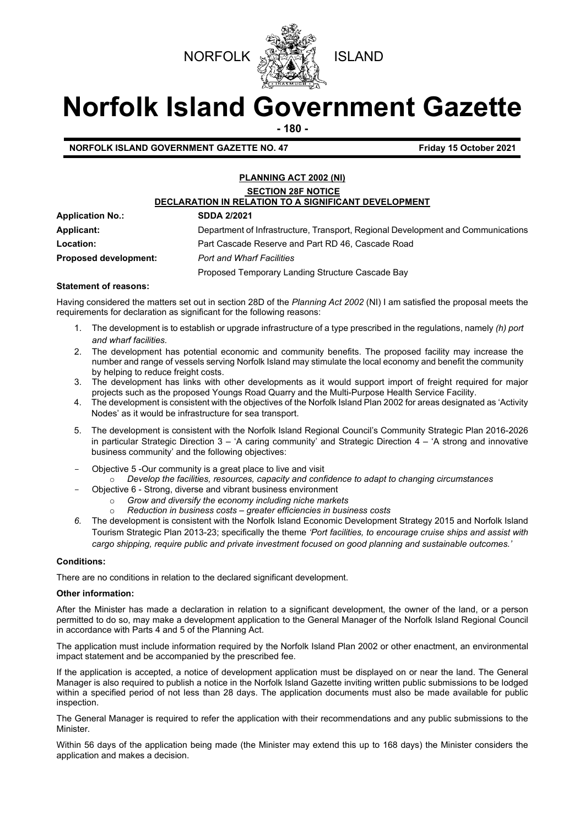



# **Norfolk Island Government Gazette**

**- 180 -**

**NORFOLK ISLAND GOVERNMENT GAZETTE NO. 47 Friday 15 October 2021** 

## **PLANNING ACT 2002 (NI) SECTION 28F NOTICE DECLARATION IN RELATION TO A SIGNIFICANT DEVELOPMENT Application No.: SDDA 2/2021**

**Applicant:** Department of Infrastructure, Transport, Regional Development and Communications **Location:** Part Cascade Reserve and Part RD 46, Cascade Road **Proposed development:** *Port and Wharf Facilities*  Proposed Temporary Landing Structure Cascade Bay

#### **Statement of reasons:**

Having considered the matters set out in section 28D of the *Planning Act 2002* (NI) I am satisfied the proposal meets the requirements for declaration as significant for the following reasons:

- 1. The development is to establish or upgrade infrastructure of a type prescribed in the regulations, namely *(h) port and wharf facilities.*
- 2. The development has potential economic and community benefits. The proposed facility may increase the number and range of vessels serving Norfolk Island may stimulate the local economy and benefit the community by helping to reduce freight costs.
- 3. The development has links with other developments as it would support import of freight required for major projects such as the proposed Youngs Road Quarry and the Multi-Purpose Health Service Facility.
- 4. The development is consistent with the objectives of the Norfolk Island Plan 2002 for areas designated as 'Activity Nodes' as it would be infrastructure for sea transport.
- 5. The development is consistent with the Norfolk Island Regional Council's Community Strategic Plan 2016-2026 in particular Strategic Direction 3 – 'A caring community' and Strategic Direction 4 – 'A strong and innovative business community' and the following objectives:
- Objective 5 -Our community is a great place to live and visit
	- o *Develop the facilities, resources, capacity and confidence to adapt to changing circumstances*
	- Objective 6 Strong, diverse and vibrant business environment
		- o *Grow and diversify the economy including niche markets*
		- o *Reduction in business costs – greater efficiencies in business costs*
- *6.* The development is consistent with the Norfolk Island Economic Development Strategy 2015 and Norfolk Island Tourism Strategic Plan 2013-23; specifically the theme *'Port facilities, to encourage cruise ships and assist with cargo shipping, require public and private investment focused on good planning and sustainable outcomes.'*

#### **Conditions:**

There are no conditions in relation to the declared significant development.

### **Other information:**

After the Minister has made a declaration in relation to a significant development, the owner of the land, or a person permitted to do so, may make a development application to the General Manager of the Norfolk Island Regional Council in accordance with Parts 4 and 5 of the Planning Act.

The application must include information required by the Norfolk Island Plan 2002 or other enactment, an environmental impact statement and be accompanied by the prescribed fee.

If the application is accepted, a notice of development application must be displayed on or near the land. The General Manager is also required to publish a notice in the Norfolk Island Gazette inviting written public submissions to be lodged within a specified period of not less than 28 days. The application documents must also be made available for public inspection.

The General Manager is required to refer the application with their recommendations and any public submissions to the **Minister** 

Within 56 days of the application being made (the Minister may extend this up to 168 days) the Minister considers the application and makes a decision.